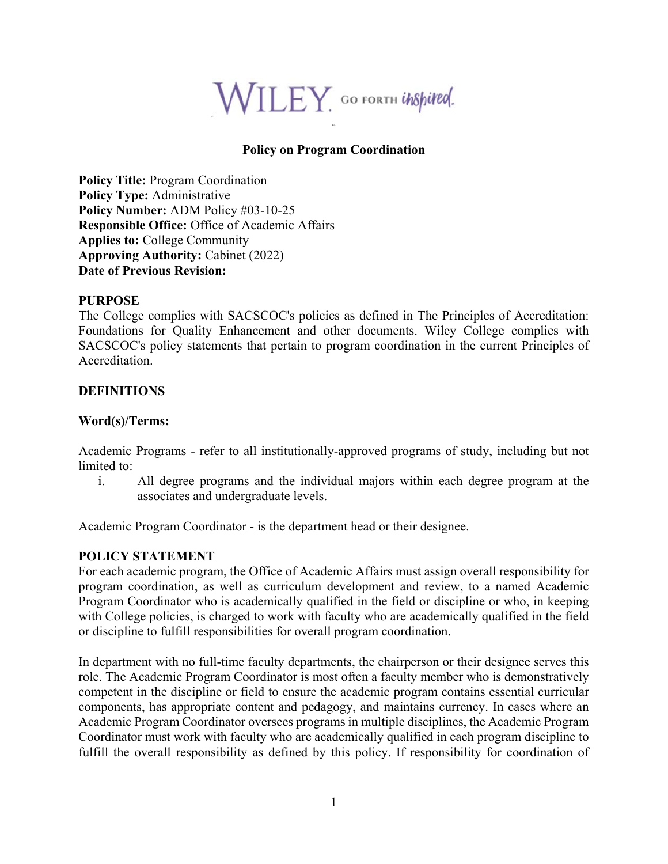

## **Policy on Program Coordination**

Po

**Policy Title:** Program Coordination **Policy Type:** Administrative **Policy Number:** ADM Policy #03-10-25 **Responsible Office:** Office of Academic Affairs **Applies to:** College Community **Approving Authority:** Cabinet (2022) **Date of Previous Revision:** 

#### **PURPOSE**

The College complies with SACSCOC's policies as defined in The Principles of Accreditation: Foundations for Quality Enhancement and other documents. Wiley College complies with SACSCOC's policy statements that pertain to program coordination in the current Principles of Accreditation.

# **DEFINITIONS**

### **Word(s)/Terms:**

Academic Programs - refer to all institutionally-approved programs of study, including but not limited to:

i. All degree programs and the individual majors within each degree program at the associates and undergraduate levels.

Academic Program Coordinator - is the department head or their designee.

### **POLICY STATEMENT**

For each academic program, the Office of Academic Affairs must assign overall responsibility for program coordination, as well as curriculum development and review, to a named Academic Program Coordinator who is academically qualified in the field or discipline or who, in keeping with College policies, is charged to work with faculty who are academically qualified in the field or discipline to fulfill responsibilities for overall program coordination.

In department with no full-time faculty departments, the chairperson or their designee serves this role. The Academic Program Coordinator is most often a faculty member who is demonstratively competent in the discipline or field to ensure the academic program contains essential curricular components, has appropriate content and pedagogy, and maintains currency. In cases where an Academic Program Coordinator oversees programs in multiple disciplines, the Academic Program Coordinator must work with faculty who are academically qualified in each program discipline to fulfill the overall responsibility as defined by this policy. If responsibility for coordination of